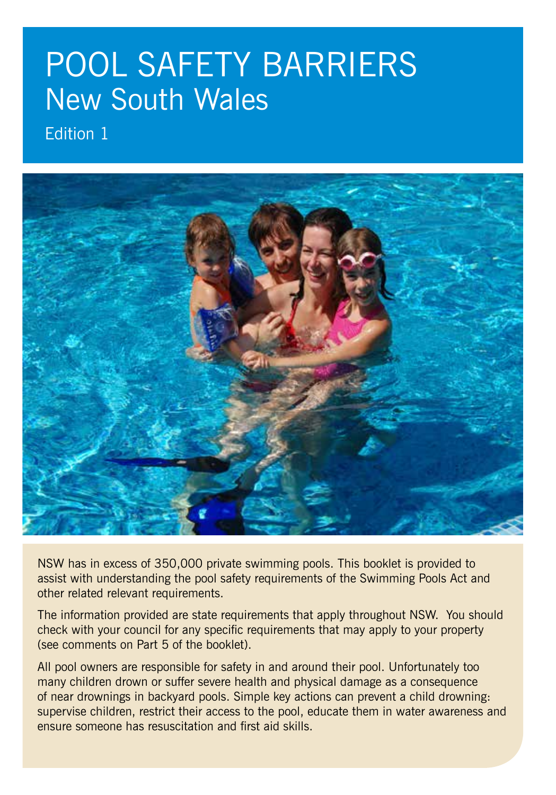# POOL SAFETY BARRIERS New South Wales

Edition 1



NSW has in excess of 350,000 private swimming pools. This booklet is provided to assist with understanding the pool safety requirements of the Swimming Pools Act and other related relevant requirements.

The information provided are state requirements that apply throughout NSW. You should check with your council for any specific requirements that may apply to your property (see comments on Part 5 of the booklet).

All pool owners are responsible for safety in and around their pool. Unfortunately too many children drown or suffer severe health and physical damage as a consequence of near drownings in backyard pools. Simple key actions can prevent a child drowning: supervise children, restrict their access to the pool, educate them in water awareness and ensure someone has resuscitation and first aid skills.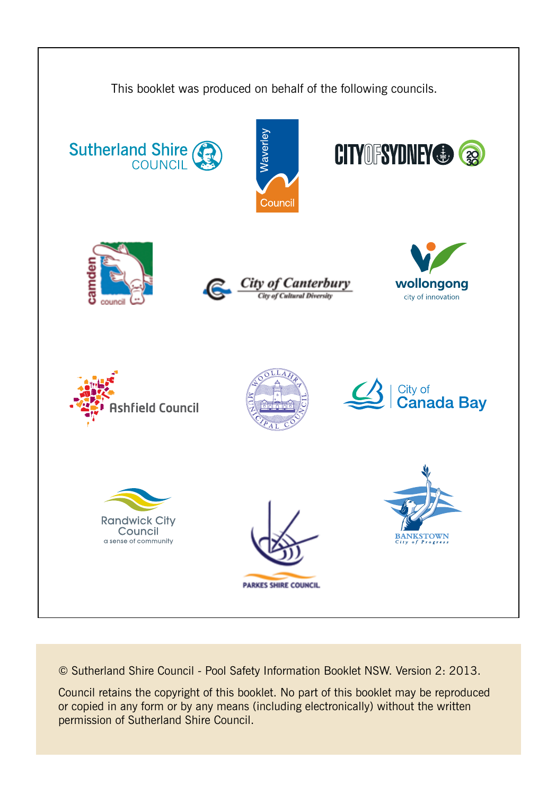

© Sutherland Shire Council - Pool Safety Information Booklet NSW. Version 2: 2013.

Council retains the copyright of this booklet. No part of this booklet may be reproduced or copied in any form or by any means (including electronically) without the written permission of Sutherland Shire Council.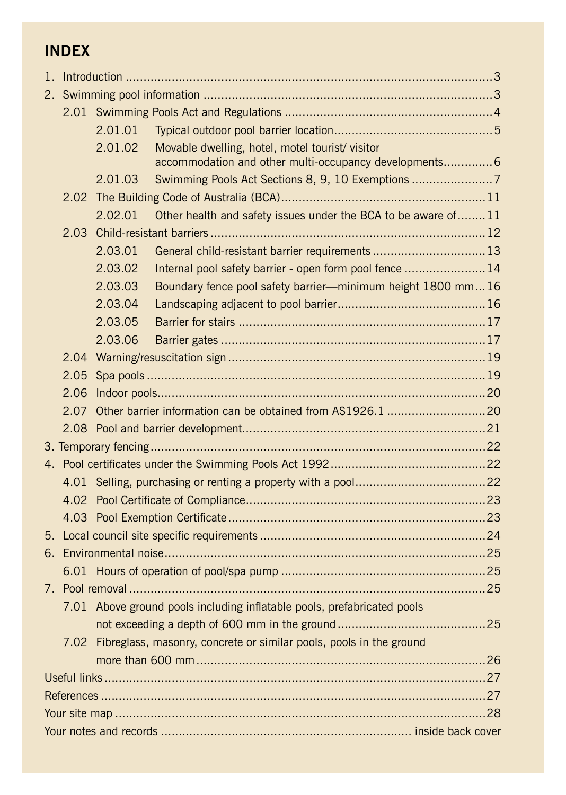### **INDEX**

|  |                                                                         | 2.01.01 |                                                                     |  |  |  |  |
|--|-------------------------------------------------------------------------|---------|---------------------------------------------------------------------|--|--|--|--|
|  |                                                                         | 2.01.02 | Movable dwelling, hotel, motel tourist/ visitor                     |  |  |  |  |
|  |                                                                         |         | accommodation and other multi-occupancy developments 6              |  |  |  |  |
|  |                                                                         | 2.01.03 | Swimming Pools Act Sections 8, 9, 10 Exemptions 7                   |  |  |  |  |
|  | 2.02                                                                    |         |                                                                     |  |  |  |  |
|  |                                                                         | 2.02.01 | Other health and safety issues under the BCA to be aware of 11      |  |  |  |  |
|  | 2.03                                                                    |         |                                                                     |  |  |  |  |
|  |                                                                         | 2.03.01 | General child-resistant barrier requirements  13                    |  |  |  |  |
|  |                                                                         | 2.03.02 | Internal pool safety barrier - open form pool fence  14             |  |  |  |  |
|  |                                                                         | 2.03.03 | Boundary fence pool safety barrier-minimum height 1800 mm16         |  |  |  |  |
|  |                                                                         | 2.03.04 |                                                                     |  |  |  |  |
|  |                                                                         | 2.03.05 |                                                                     |  |  |  |  |
|  |                                                                         | 2.03.06 |                                                                     |  |  |  |  |
|  | 2.04                                                                    |         |                                                                     |  |  |  |  |
|  | 2.05                                                                    |         |                                                                     |  |  |  |  |
|  | 2.06                                                                    |         |                                                                     |  |  |  |  |
|  | 2.07                                                                    |         |                                                                     |  |  |  |  |
|  |                                                                         |         |                                                                     |  |  |  |  |
|  |                                                                         |         |                                                                     |  |  |  |  |
|  |                                                                         |         |                                                                     |  |  |  |  |
|  |                                                                         |         |                                                                     |  |  |  |  |
|  |                                                                         |         |                                                                     |  |  |  |  |
|  |                                                                         |         |                                                                     |  |  |  |  |
|  |                                                                         |         |                                                                     |  |  |  |  |
|  |                                                                         |         |                                                                     |  |  |  |  |
|  |                                                                         |         |                                                                     |  |  |  |  |
|  | 7.01 Above ground pools including inflatable pools, prefabricated pools |         |                                                                     |  |  |  |  |
|  |                                                                         |         |                                                                     |  |  |  |  |
|  |                                                                         |         |                                                                     |  |  |  |  |
|  | 7.02                                                                    |         | Fibreglass, masonry, concrete or similar pools, pools in the ground |  |  |  |  |
|  |                                                                         |         |                                                                     |  |  |  |  |
|  |                                                                         |         |                                                                     |  |  |  |  |
|  |                                                                         |         |                                                                     |  |  |  |  |
|  |                                                                         |         |                                                                     |  |  |  |  |
|  |                                                                         |         |                                                                     |  |  |  |  |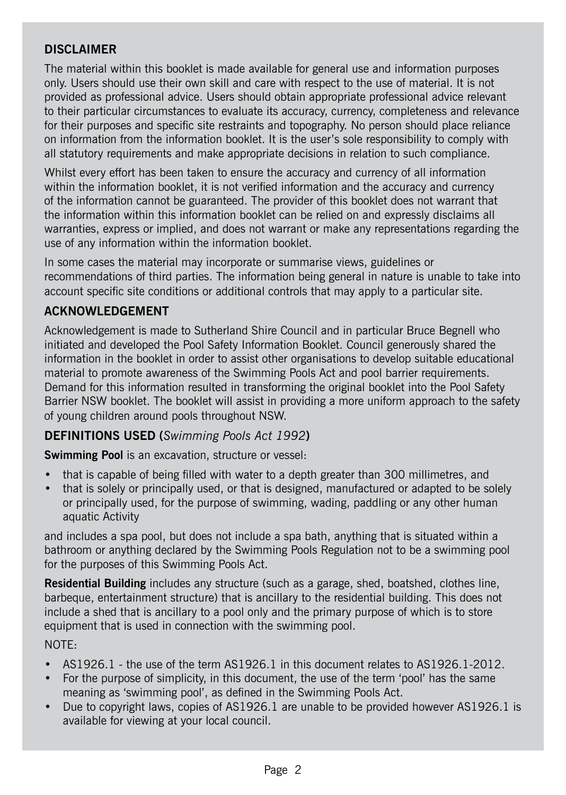### **DISCLAIMER**

The material within this booklet is made available for general use and information purposes only. Users should use their own skill and care with respect to the use of material. It is not provided as professional advice. Users should obtain appropriate professional advice relevant to their particular circumstances to evaluate its accuracy, currency, completeness and relevance for their purposes and specific site restraints and topography. No person should place reliance on information from the information booklet. It is the user's sole responsibility to comply with all statutory requirements and make appropriate decisions in relation to such compliance.

Whilst every effort has been taken to ensure the accuracy and currency of all information within the information booklet, it is not verified information and the accuracy and currency of the information cannot be guaranteed. The provider of this booklet does not warrant that the information within this information booklet can be relied on and expressly disclaims all warranties, express or implied, and does not warrant or make any representations regarding the use of any information within the information booklet.

In some cases the material may incorporate or summarise views, guidelines or recommendations of third parties. The information being general in nature is unable to take into account specific site conditions or additional controls that may apply to a particular site.

#### **ACKNOWLEDGEMENT**

Acknowledgement is made to Sutherland Shire Council and in particular Bruce Begnell who initiated and developed the Pool Safety Information Booklet. Council generously shared the information in the booklet in order to assist other organisations to develop suitable educational material to promote awareness of the Swimming Pools Act and pool barrier requirements. Demand for this information resulted in transforming the original booklet into the Pool Safety Barrier NSW booklet. The booklet will assist in providing a more uniform approach to the safety of young children around pools throughout NSW.

### **DEFINITIONS USED (***Swimming Pools Act 1992***)**

**Swimming Pool** is an excavation, structure or vessel:

- that is capable of being filled with water to a depth greater than 300 millimetres, and
- that is solely or principally used, or that is designed, manufactured or adapted to be solely or principally used, for the purpose of swimming, wading, paddling or any other human aquatic Activity

and includes a spa pool, but does not include a spa bath, anything that is situated within a bathroom or anything declared by the Swimming Pools Regulation not to be a swimming pool for the purposes of this Swimming Pools Act.

**Residential Building** includes any structure (such as a garage, shed, boatshed, clothes line, barbeque, entertainment structure) that is ancillary to the residential building. This does not include a shed that is ancillary to a pool only and the primary purpose of which is to store equipment that is used in connection with the swimming pool.

#### NOTE:

- AS1926.1 the use of the term AS1926.1 in this document relates to AS1926.1-2012.
- For the purpose of simplicity, in this document, the use of the term 'pool' has the same meaning as 'swimming pool', as defined in the Swimming Pools Act.
- Due to copyright laws, copies of AS1926.1 are unable to be provided however AS1926.1 is available for viewing at your local council.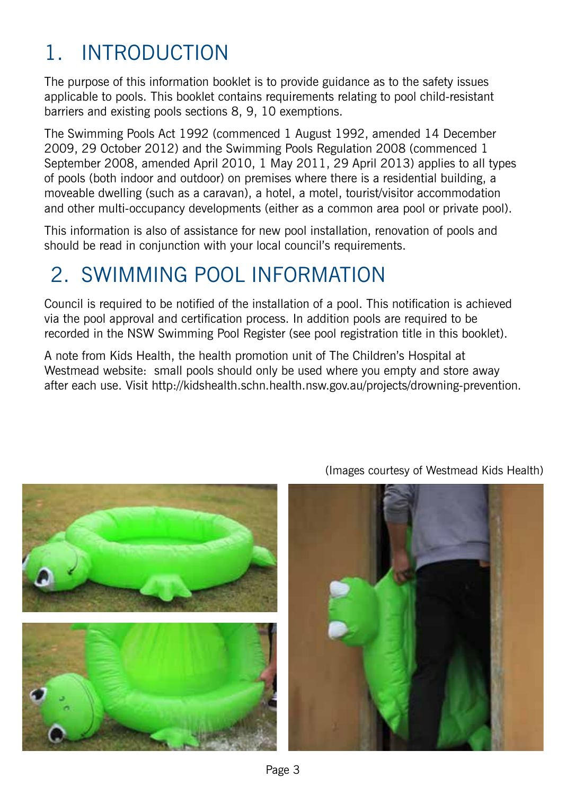## 1. Introduction

The purpose of this information booklet is to provide guidance as to the safety issues applicable to pools. This booklet contains requirements relating to pool child-resistant barriers and existing pools sections 8, 9, 10 exemptions.

The Swimming Pools Act 1992 (commenced 1 August 1992, amended 14 December 2009, 29 October 2012) and the Swimming Pools Regulation 2008 (commenced 1 September 2008, amended April 2010, 1 May 2011, 29 April 2013) applies to all types of pools (both indoor and outdoor) on premises where there is a residential building, a moveable dwelling (such as a caravan), a hotel, a motel, tourist/visitor accommodation and other multi-occupancy developments (either as a common area pool or private pool).

This information is also of assistance for new pool installation, renovation of pools and should be read in conjunction with your local council's requirements.

## 2. Swimming Pool Information

Council is required to be notified of the installation of a pool. This notification is achieved via the pool approval and certification process. In addition pools are required to be recorded in the NSW Swimming Pool Register (see pool registration title in this booklet).

A note from Kids Health, the health promotion unit of The Children's Hospital at Westmead website: small pools should only be used where you empty and store away after each use. Visit http://kidshealth.schn.health.nsw.gov.au/projects/drowning-prevention.



(Images courtesy of Westmead Kids Health)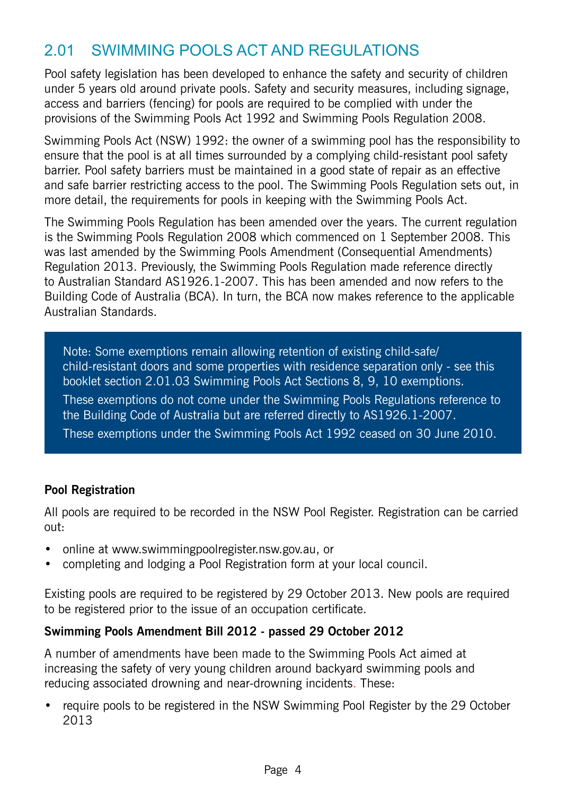### 2.01 Swimming Pools Act and Regulations

Pool safety legislation has been developed to enhance the safety and security of children under 5 years old around private pools. Safety and security measures, including signage, access and barriers (fencing) for pools are required to be complied with under the provisions of the Swimming Pools Act 1992 and Swimming Pools Regulation 2008.

Swimming Pools Act (NSW) 1992: the owner of a swimming pool has the responsibility to ensure that the pool is at all times surrounded by a complying child-resistant pool safety barrier. Pool safety barriers must be maintained in a good state of repair as an effective and safe barrier restricting access to the pool. The Swimming Pools Regulation sets out, in more detail, the requirements for pools in keeping with the Swimming Pools Act.

The Swimming Pools Regulation has been amended over the years. The current regulation is the Swimming Pools Regulation 2008 which commenced on 1 September 2008. This was last amended by the Swimming Pools Amendment (Consequential Amendments) Regulation 2013. Previously, the Swimming Pools Regulation made reference directly to Australian Standard AS1926.1-2007. This has been amended and now refers to the Building Code of Australia (BCA). In turn, the BCA now makes reference to the applicable Australian Standards.

Note: Some exemptions remain allowing retention of existing child-safe/ child-resistant doors and some properties with residence separation only - see this booklet section 2.01.03 Swimming Pools Act Sections 8, 9, 10 exemptions. These exemptions do not come under the Swimming Pools Regulations reference to the Building Code of Australia but are referred directly to AS1926.1-2007. These exemptions under the Swimming Pools Act 1992 ceased on 30 June 2010.

### **Pool Registration**

All pools are required to be recorded in the NSW Pool Register. Registration can be carried out:

- online at www.swimmingpoolregister.nsw.gov.au, or
- completing and lodging a Pool Registration form at your local council.

Existing pools are required to be registered by 29 October 2013. New pools are required to be registered prior to the issue of an occupation certificate.

### **Swimming Pools Amendment Bill 2012 - passed 29 October 2012**

A number of amendments have been made to the Swimming Pools Act aimed at increasing the safety of very young children around backyard swimming pools and reducing associated drowning and near-drowning incidents. These:

• require pools to be registered in the NSW Swimming Pool Register by the 29 October 2013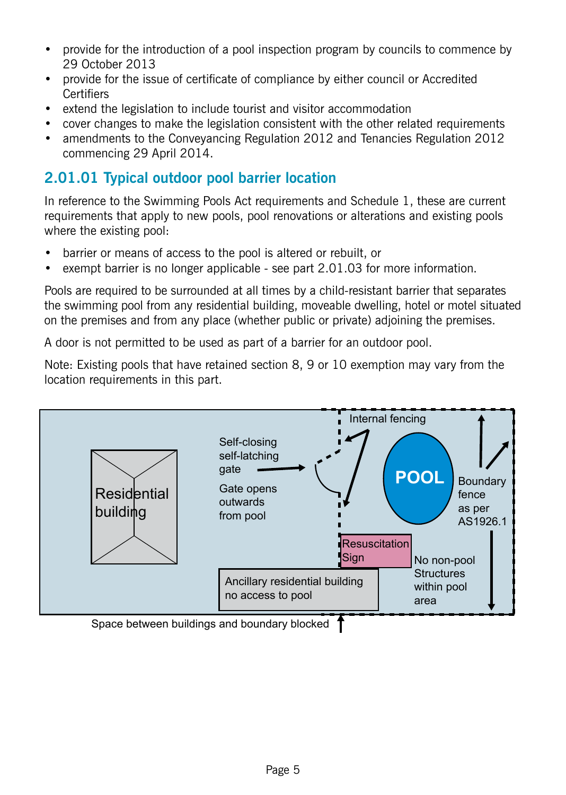- provide for the introduction of a pool inspection program by councils to commence by 29 October 2013
- provide for the issue of certificate of compliance by either council or Accredited **Certifiers**
- extend the legislation to include tourist and visitor accommodation
- cover changes to make the legislation consistent with the other related requirements
- amendments to the Conveyancing Regulation 2012 and Tenancies Regulation 2012 commencing 29 April 2014.

### **2.01.01 Typical outdoor pool barrier location**

In reference to the Swimming Pools Act requirements and Schedule 1, these are current requirements that apply to new pools, pool renovations or alterations and existing pools where the existing pool:

- barrier or means of access to the pool is altered or rebuilt, or
- exempt barrier is no longer applicable see part 2.01.03 for more information.

Pools are required to be surrounded at all times by a child-resistant barrier that separates the swimming pool from any residential building, moveable dwelling, hotel or motel situated on the premises and from any place (whether public or private) adjoining the premises.

A door is not permitted to be used as part of a barrier for an outdoor pool.

Note: Existing pools that have retained section 8, 9 or 10 exemption may vary from the location requirements in this part.



Space between buildings and boundary blocked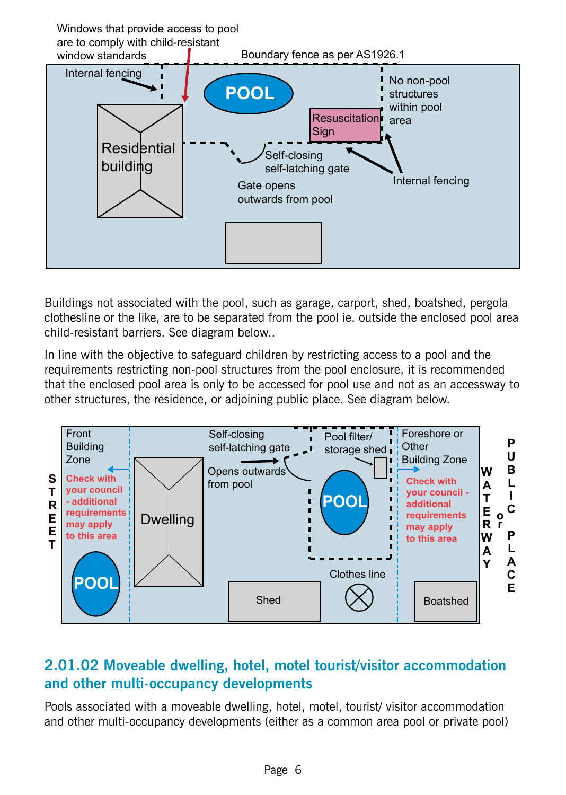

Buildings not associated with the pool, such as garage, carport, shed, boatshed, pergola clothesline or the like, are to be separated from the pool ie. outside the enclosed pool area child-resistant barriers. See diagram below..

In line with the objective to safeguard children by restricting access to a pool and the requirements restricting non-pool structures from the pool enclosure, it is recommended that the enclosed pool area is only to be accessed for pool use and not as an accessway to other structures, the residence, or adjoining public place. See diagram below.



### **2.01.02 Moveable dwelling, hotel, motel tourist/visitor accommodation and other multi-occupancy developments**

Pools associated with a moveable dwelling, hotel, motel, tourist/ visitor accommodation and other multi-occupancy developments (either as a common area pool or private pool)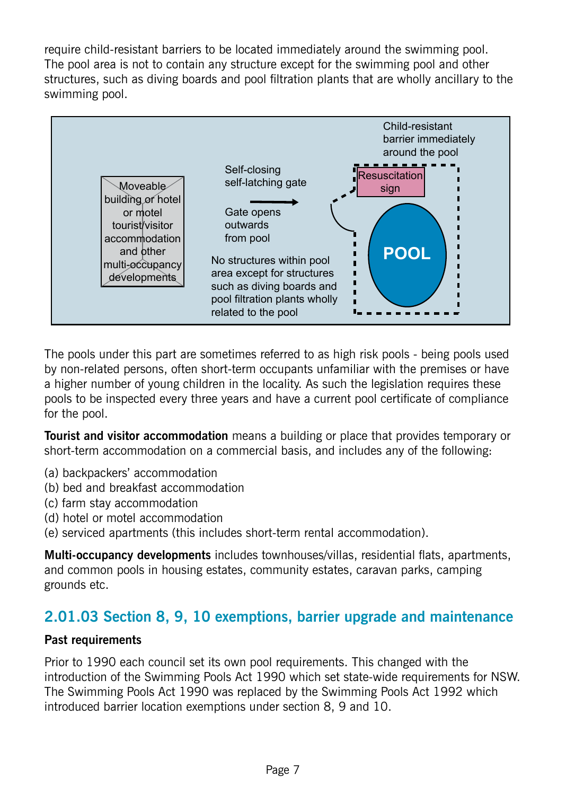require child-resistant barriers to be located immediately around the swimming pool. The pool area is not to contain any structure except for the swimming pool and other structures, such as diving boards and pool filtration plants that are wholly ancillary to the swimming pool.



The pools under this part are sometimes referred to as high risk pools - being pools used by non-related persons, often short-term occupants unfamiliar with the premises or have a higher number of young children in the locality. As such the legislation requires these pools to be inspected every three years and have a current pool certificate of compliance for the pool.

**Tourist and visitor accommodation** means a building or place that provides temporary or short-term accommodation on a commercial basis, and includes any of the following:

- (a) backpackers' accommodation
- (b) bed and breakfast accommodation
- (c) farm stay accommodation
- (d) hotel or motel accommodation
- (e) serviced apartments (this includes short-term rental accommodation).

**Multi-occupancy developments** includes townhouses/villas, residential flats, apartments, and common pools in housing estates, community estates, caravan parks, camping grounds etc.

### **2.01.03 Section 8, 9, 10 exemptions, barrier upgrade and maintenance**

#### **Past requirements**

Prior to 1990 each council set its own pool requirements. This changed with the introduction of the Swimming Pools Act 1990 which set state-wide requirements for NSW. The Swimming Pools Act 1990 was replaced by the Swimming Pools Act 1992 which introduced barrier location exemptions under section 8, 9 and 10.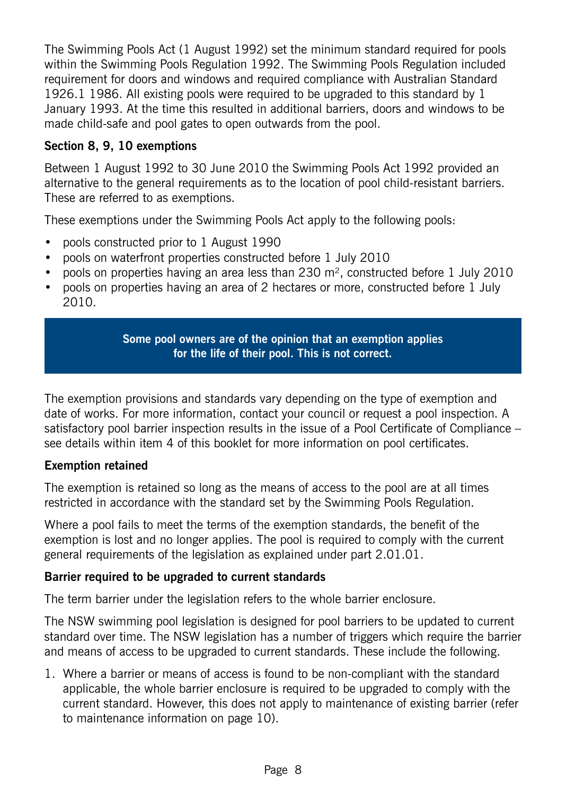The Swimming Pools Act (1 August 1992) set the minimum standard required for pools within the Swimming Pools Regulation 1992. The Swimming Pools Regulation included requirement for doors and windows and required compliance with Australian Standard 1926.1 1986. All existing pools were required to be upgraded to this standard by 1 January 1993. At the time this resulted in additional barriers, doors and windows to be made child-safe and pool gates to open outwards from the pool.

#### **Section 8, 9, 10 exemptions**

Between 1 August 1992 to 30 June 2010 the Swimming Pools Act 1992 provided an alternative to the general requirements as to the location of pool child-resistant barriers. These are referred to as exemptions.

These exemptions under the Swimming Pools Act apply to the following pools:

- pools constructed prior to 1 August 1990
- pools on waterfront properties constructed before 1 July 2010
- pools on properties having an area less than 230  $m<sup>2</sup>$ , constructed before 1 July 2010
- pools on properties having an area of 2 hectares or more, constructed before 1 July 2010.

**Some pool owners are of the opinion that an exemption applies for the life of their pool. This is not correct.**

The exemption provisions and standards vary depending on the type of exemption and date of works. For more information, contact your council or request a pool inspection. A satisfactory pool barrier inspection results in the issue of a Pool Certificate of Compliance – see details within item 4 of this booklet for more information on pool certificates.

#### **Exemption retained**

The exemption is retained so long as the means of access to the pool are at all times restricted in accordance with the standard set by the Swimming Pools Regulation.

Where a pool fails to meet the terms of the exemption standards, the benefit of the exemption is lost and no longer applies. The pool is required to comply with the current general requirements of the legislation as explained under part 2.01.01.

#### **Barrier required to be upgraded to current standards**

The term barrier under the legislation refers to the whole barrier enclosure.

The NSW swimming pool legislation is designed for pool barriers to be updated to current standard over time. The NSW legislation has a number of triggers which require the barrier and means of access to be upgraded to current standards. These include the following.

1. Where a barrier or means of access is found to be non-compliant with the standard applicable, the whole barrier enclosure is required to be upgraded to comply with the current standard. However, this does not apply to maintenance of existing barrier (refer to maintenance information on page 10).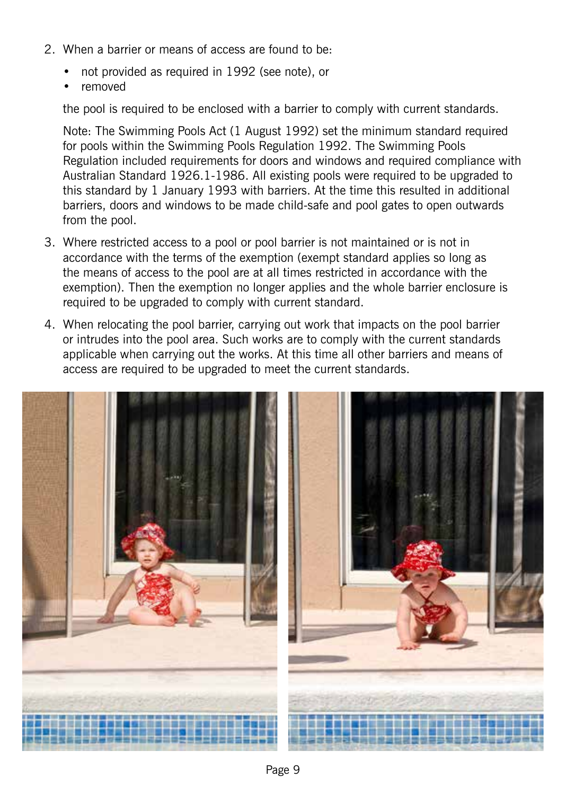- 2. When a barrier or means of access are found to be:
	- not provided as required in 1992 (see note), or
	- removed

the pool is required to be enclosed with a barrier to comply with current standards.

Note: The Swimming Pools Act (1 August 1992) set the minimum standard required for pools within the Swimming Pools Regulation 1992. The Swimming Pools Regulation included requirements for doors and windows and required compliance with Australian Standard 1926.1-1986. All existing pools were required to be upgraded to this standard by 1 January 1993 with barriers. At the time this resulted in additional barriers, doors and windows to be made child-safe and pool gates to open outwards from the pool.

- 3. Where restricted access to a pool or pool barrier is not maintained or is not in accordance with the terms of the exemption (exempt standard applies so long as the means of access to the pool are at all times restricted in accordance with the exemption). Then the exemption no longer applies and the whole barrier enclosure is required to be upgraded to comply with current standard.
- 4. When relocating the pool barrier, carrying out work that impacts on the pool barrier or intrudes into the pool area. Such works are to comply with the current standards applicable when carrying out the works. At this time all other barriers and means of access are required to be upgraded to meet the current standards.

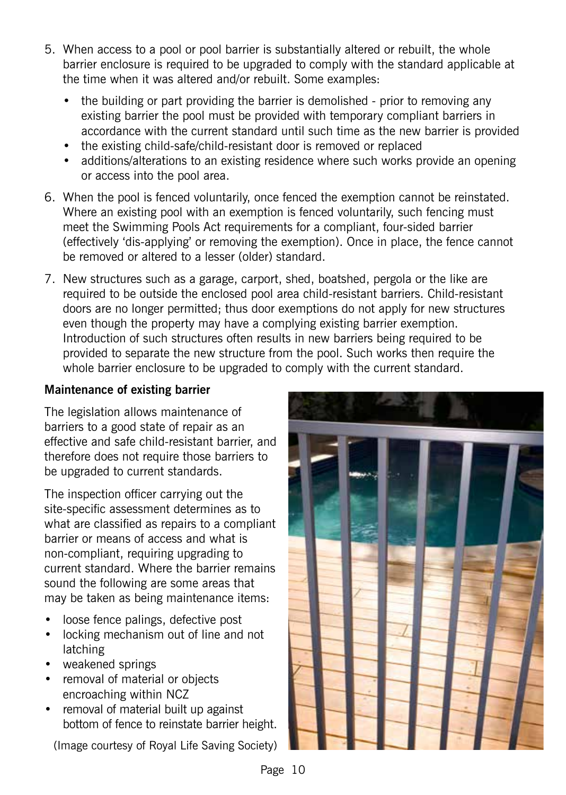- 5. When access to a pool or pool barrier is substantially altered or rebuilt, the whole barrier enclosure is required to be upgraded to comply with the standard applicable at the time when it was altered and/or rebuilt. Some examples:
	- the building or part providing the barrier is demolished prior to removing any existing barrier the pool must be provided with temporary compliant barriers in accordance with the current standard until such time as the new barrier is provided
	- the existing child-safe/child-resistant door is removed or replaced
	- additions/alterations to an existing residence where such works provide an opening or access into the pool area.
- 6. When the pool is fenced voluntarily, once fenced the exemption cannot be reinstated. Where an existing pool with an exemption is fenced voluntarily, such fencing must meet the Swimming Pools Act requirements for a compliant, four-sided barrier (effectively 'dis-applying' or removing the exemption). Once in place, the fence cannot be removed or altered to a lesser (older) standard.
- 7. New structures such as a garage, carport, shed, boatshed, pergola or the like are required to be outside the enclosed pool area child-resistant barriers. Child-resistant doors are no longer permitted; thus door exemptions do not apply for new structures even though the property may have a complying existing barrier exemption. Introduction of such structures often results in new barriers being required to be provided to separate the new structure from the pool. Such works then require the whole barrier enclosure to be upgraded to comply with the current standard.

### **Maintenance of existing barrier**

The legislation allows maintenance of barriers to a good state of repair as an effective and safe child-resistant barrier, and therefore does not require those barriers to be upgraded to current standards.

The inspection officer carrying out the site-specific assessment determines as to what are classified as repairs to a compliant barrier or means of access and what is non-compliant, requiring upgrading to current standard. Where the barrier remains sound the following are some areas that may be taken as being maintenance items:

- loose fence palings, defective post
- locking mechanism out of line and not latching
- weakened springs
- removal of material or objects encroaching within NCZ
- removal of material built up against bottom of fence to reinstate barrier height.

(Image courtesy of Royal Life Saving Society)

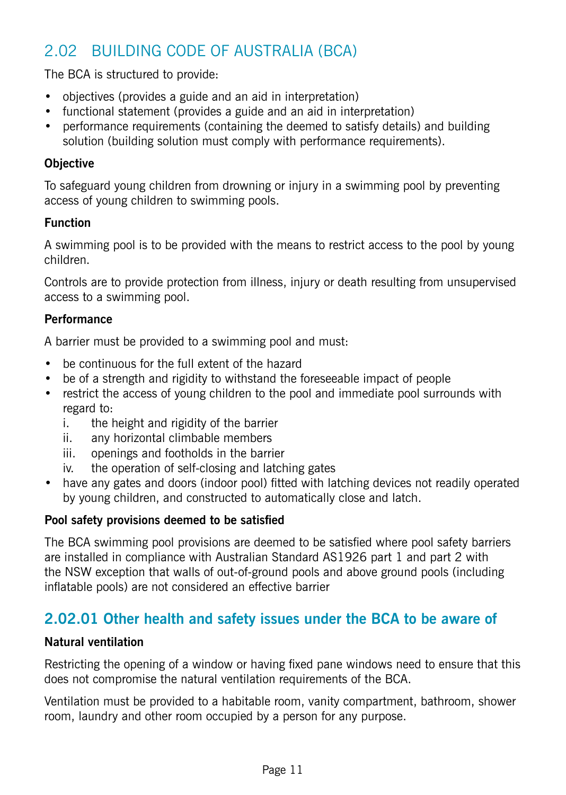### 2.02 Building Code of Australia (BCA)

The BCA is structured to provide:

- objectives (provides a guide and an aid in interpretation)
- functional statement (provides a guide and an aid in interpretation)
- performance requirements (containing the deemed to satisfy details) and building solution (building solution must comply with performance requirements).

### **Objective**

To safeguard young children from drowning or injury in a swimming pool by preventing access of young children to swimming pools.

### **Function**

A swimming pool is to be provided with the means to restrict access to the pool by young children.

Controls are to provide protection from illness, injury or death resulting from unsupervised access to a swimming pool.

### **Performance**

A barrier must be provided to a swimming pool and must:

- be continuous for the full extent of the hazard
- be of a strength and rigidity to withstand the foreseeable impact of people
- restrict the access of young children to the pool and immediate pool surrounds with regard to:
	- i. the height and rigidity of the barrier
	- ii. any horizontal climbable members
	- iii. openings and footholds in the barrier
	- iv. the operation of self-closing and latching gates
- have any gates and doors (indoor pool) fitted with latching devices not readily operated by young children, and constructed to automatically close and latch.

### **Pool safety provisions deemed to be satisfied**

The BCA swimming pool provisions are deemed to be satisfied where pool safety barriers are installed in compliance with Australian Standard AS1926 part 1 and part 2 with the NSW exception that walls of out-of-ground pools and above ground pools (including inflatable pools) are not considered an effective barrier

### **2.02.01 Other health and safety issues under the BCA to be aware of**

### **Natural ventilation**

Restricting the opening of a window or having fixed pane windows need to ensure that this does not compromise the natural ventilation requirements of the BCA.

Ventilation must be provided to a habitable room, vanity compartment, bathroom, shower room, laundry and other room occupied by a person for any purpose.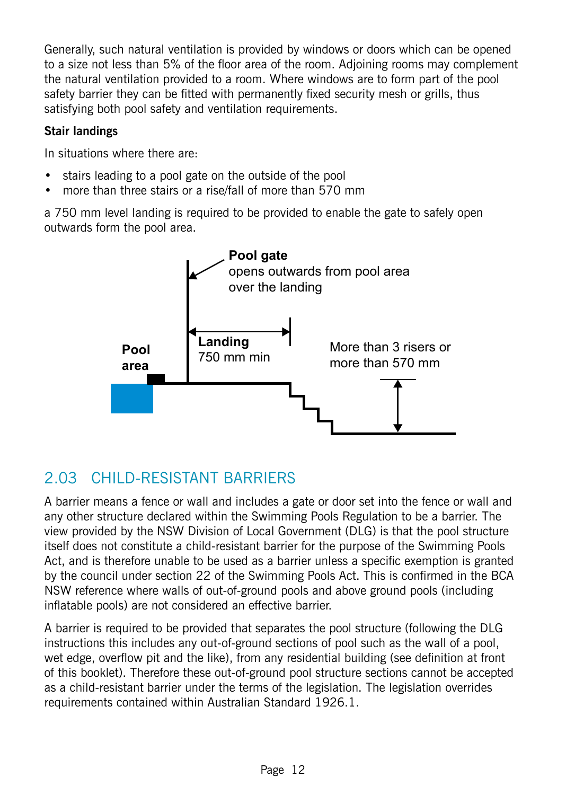Generally, such natural ventilation is provided by windows or doors which can be opened to a size not less than 5% of the floor area of the room. Adjoining rooms may complement the natural ventilation provided to a room. Where windows are to form part of the pool safety barrier they can be fitted with permanently fixed security mesh or grills, thus satisfying both pool safety and ventilation requirements.

### **Stair landings**

In situations where there are:

- stairs leading to a pool gate on the outside of the pool
- more than three stairs or a rise/fall of more than 570 mm

a 750 mm level landing is required to be provided to enable the gate to safely open outwards form the pool area.



### 2.03 Child‑Resistant Barriers

A barrier means a fence or wall and includes a gate or door set into the fence or wall and any other structure declared within the Swimming Pools Regulation to be a barrier. The view provided by the NSW Division of Local Government (DLG) is that the pool structure itself does not constitute a child-resistant barrier for the purpose of the Swimming Pools Act, and is therefore unable to be used as a barrier unless a specific exemption is granted by the council under section 22 of the Swimming Pools Act. This is confirmed in the BCA NSW reference where walls of out-of-ground pools and above ground pools (including inflatable pools) are not considered an effective barrier.

A barrier is required to be provided that separates the pool structure (following the DLG instructions this includes any out-of-ground sections of pool such as the wall of a pool, wet edge, overflow pit and the like), from any residential building (see definition at front of this booklet). Therefore these out-of-ground pool structure sections cannot be accepted as a child-resistant barrier under the terms of the legislation. The legislation overrides requirements contained within Australian Standard 1926.1.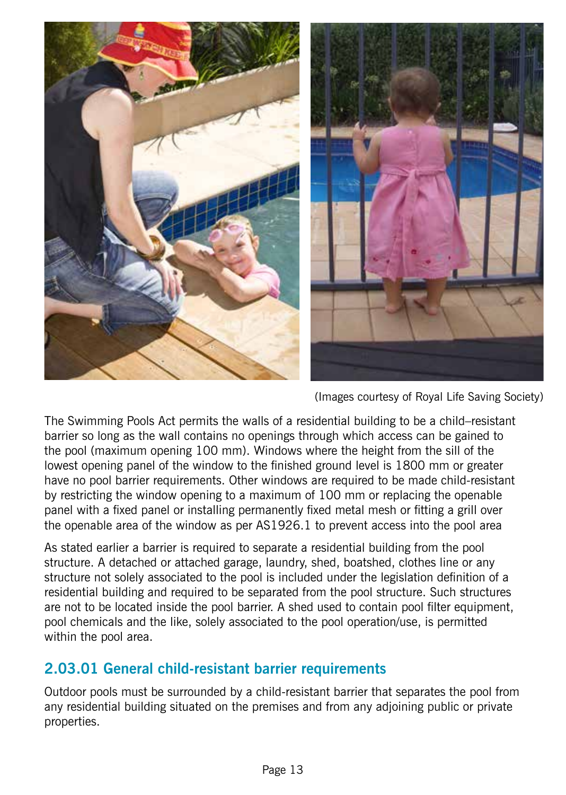

(Images courtesy of Royal Life Saving Society)

The Swimming Pools Act permits the walls of a residential building to be a child–resistant barrier so long as the wall contains no openings through which access can be gained to the pool (maximum opening 100 mm). Windows where the height from the sill of the lowest opening panel of the window to the finished ground level is 1800 mm or greater have no pool barrier requirements. Other windows are required to be made child-resistant by restricting the window opening to a maximum of 100 mm or replacing the openable panel with a fixed panel or installing permanently fixed metal mesh or fitting a grill over the openable area of the window as per AS1926.1 to prevent access into the pool area

As stated earlier a barrier is required to separate a residential building from the pool structure. A detached or attached garage, laundry, shed, boatshed, clothes line or any structure not solely associated to the pool is included under the legislation definition of a residential building and required to be separated from the pool structure. Such structures are not to be located inside the pool barrier. A shed used to contain pool filter equipment, pool chemicals and the like, solely associated to the pool operation/use, is permitted within the pool area.

### **2.03.01 General child-resistant barrier requirements**

Outdoor pools must be surrounded by a child-resistant barrier that separates the pool from any residential building situated on the premises and from any adjoining public or private properties.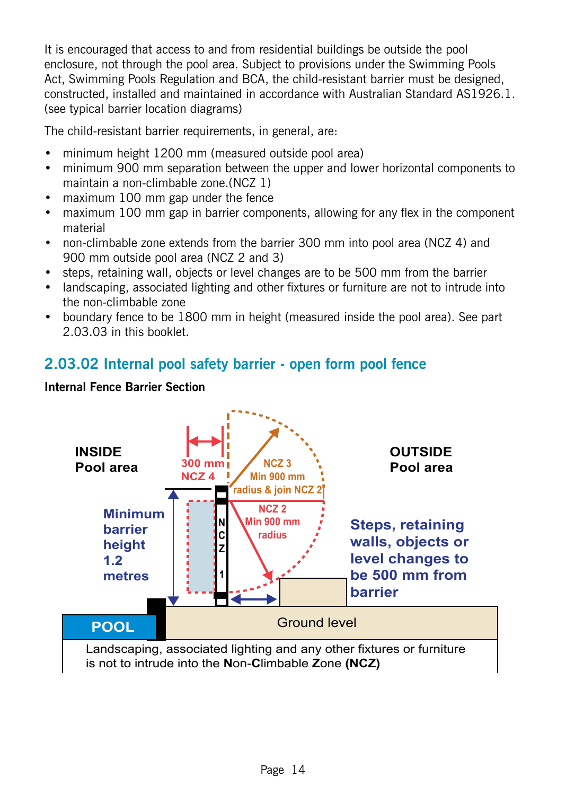It is encouraged that access to and from residential buildings be outside the pool enclosure, not through the pool area. Subject to provisions under the Swimming Pools Act, Swimming Pools Regulation and BCA, the child-resistant barrier must be designed, constructed, installed and maintained in accordance with Australian Standard AS1926.1. (see typical barrier location diagrams)

The child-resistant barrier requirements, in general, are:

- minimum height 1200 mm (measured outside pool area)
- minimum 900 mm separation between the upper and lower horizontal components to maintain a non-climbable zone.(NCZ 1)
- maximum 100 mm gap under the fence
- maximum 100 mm gap in barrier components, allowing for any flex in the component material
- non-climbable zone extends from the barrier 300 mm into pool area (NCZ 4) and 900 mm outside pool area (NCZ 2 and 3)
- steps, retaining wall, objects or level changes are to be 500 mm from the barrier
- landscaping, associated lighting and other fixtures or furniture are not to intrude into the non-climbable zone
- boundary fence to be 1800 mm in height (measured inside the pool area). See part 2.03.03 in this booklet.

### **2.03.02 Internal pool safety barrier - open form pool fence**



#### **Internal Fence Barrier Section**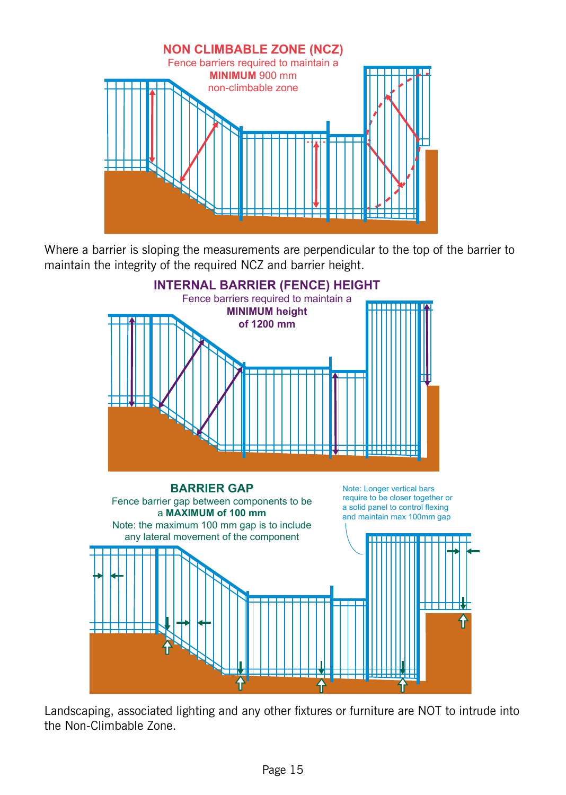

Where a barrier is sloping the measurements are perpendicular to the top of the barrier to maintain the integrity of the required NCZ and barrier height.



Landscaping, associated lighting and any other fixtures or furniture are NOT to intrude into the Non-Climbable Zone.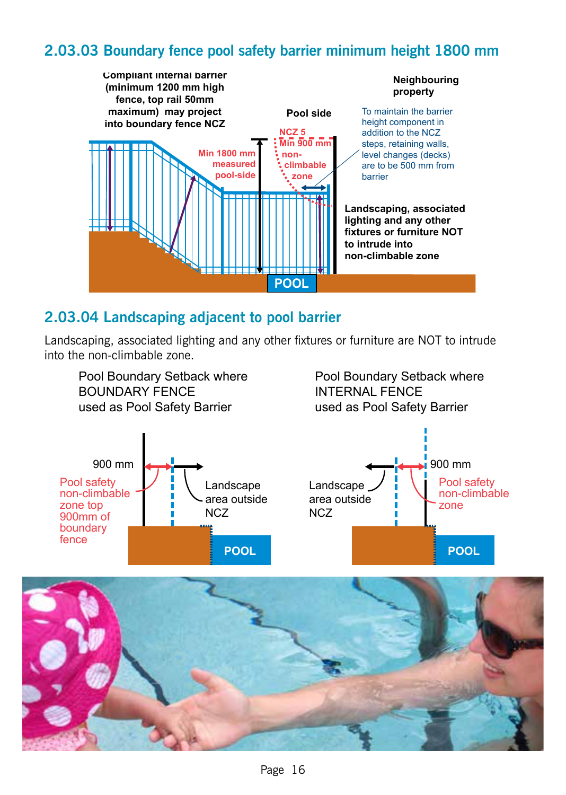### **2.03.03 Boundary fence pool safety barrier minimum height 1800 mm**



### **2.03.04 Landscaping adjacent to pool barrier**

Landscaping, associated lighting and any other fixtures or furniture are NOT to intrude into the non‑climbable zone.



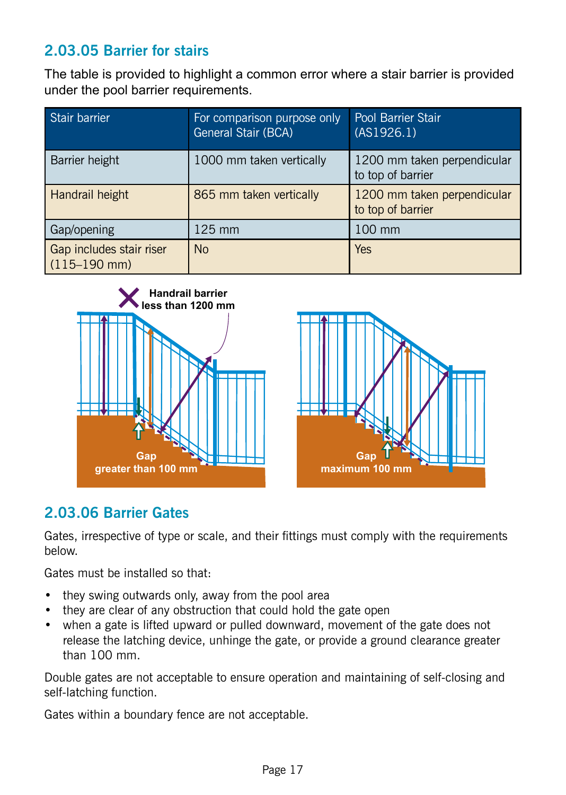### **2.03.05 Barrier for stairs**

The table is provided to highlight a common error where a stair barrier is provided under the pool barrier requirements.

| Stair barrier                                | For comparison purpose only<br>General Stair (BCA) | Pool Barrier Stair<br>(AS1926.1)                 |
|----------------------------------------------|----------------------------------------------------|--------------------------------------------------|
| Barrier height                               | 1000 mm taken vertically                           | 1200 mm taken perpendicular<br>to top of barrier |
| Handrail height                              | 865 mm taken vertically                            | 1200 mm taken perpendicular<br>to top of barrier |
| Gap/opening                                  | $125$ mm                                           | 100 mm                                           |
| Gap includes stair riser<br>$(115 - 190$ mm) | <b>No</b>                                          | <b>Yes</b>                                       |





### **2.03.06 Barrier Gates**

Gates, irrespective of type or scale, and their fittings must comply with the requirements below.

Gates must be installed so that:

- they swing outwards only, away from the pool area
- they are clear of any obstruction that could hold the gate open
- when a gate is lifted upward or pulled downward, movement of the gate does not release the latching device, unhinge the gate, or provide a ground clearance greater than 100 mm.

Double gates are not acceptable to ensure operation and maintaining of self-closing and self-latching function.

Gates within a boundary fence are not acceptable.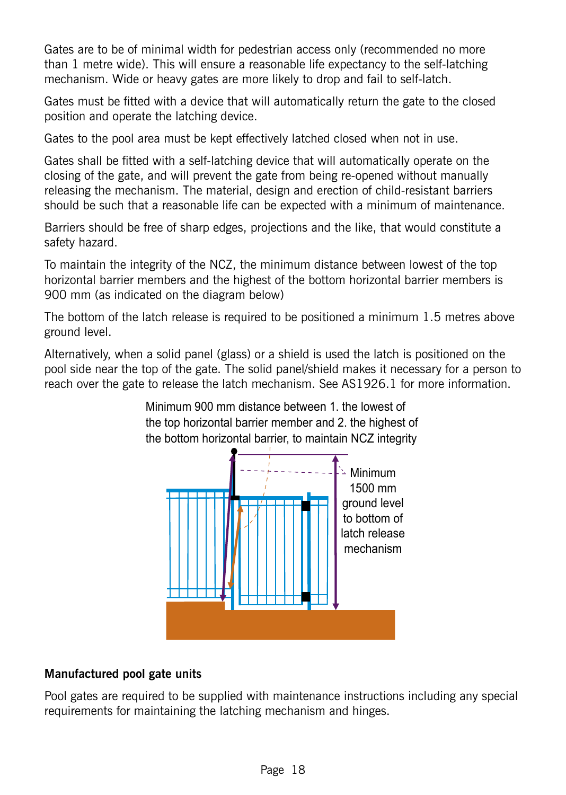Gates are to be of minimal width for pedestrian access only (recommended no more than 1 metre wide). This will ensure a reasonable life expectancy to the self-latching mechanism. Wide or heavy gates are more likely to drop and fail to self-latch.

Gates must be fitted with a device that will automatically return the gate to the closed position and operate the latching device.

Gates to the pool area must be kept effectively latched closed when not in use.

Gates shall be fitted with a self-latching device that will automatically operate on the closing of the gate, and will prevent the gate from being re-opened without manually releasing the mechanism. The material, design and erection of child-resistant barriers should be such that a reasonable life can be expected with a minimum of maintenance.

Barriers should be free of sharp edges, projections and the like, that would constitute a safety hazard.

To maintain the integrity of the NCZ, the minimum distance between lowest of the top horizontal barrier members and the highest of the bottom horizontal barrier members is 900 mm (as indicated on the diagram below)

The bottom of the latch release is required to be positioned a minimum 1.5 metres above ground level.

Alternatively, when a solid panel (glass) or a shield is used the latch is positioned on the pool side near the top of the gate. The solid panel/shield makes it necessary for a person to reach over the gate to release the latch mechanism. See AS1926.1 for more information.

> Minimum 900 mm distance between 1. the lowest of the top horizontal barrier member and 2. the highest of the bottom horizontal barrier, to maintain NCZ integrity



### **Manufactured pool gate units**

Pool gates are required to be supplied with maintenance instructions including any special requirements for maintaining the latching mechanism and hinges.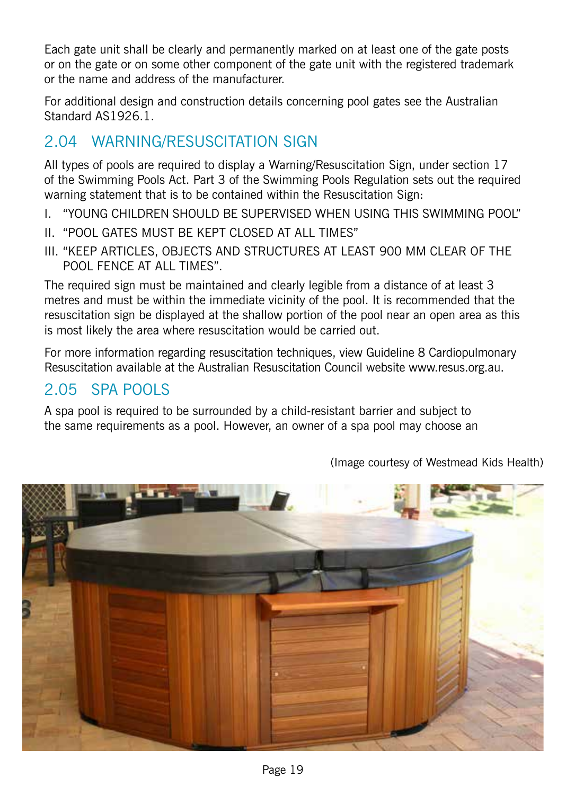Each gate unit shall be clearly and permanently marked on at least one of the gate posts or on the gate or on some other component of the gate unit with the registered trademark or the name and address of the manufacturer.

For additional design and construction details concerning pool gates see the Australian Standard AS1926.1.

### 2.04 Warning/Resuscitation Sign

All types of pools are required to display a Warning/Resuscitation Sign, under section 17 of the Swimming Pools Act. Part 3 of the Swimming Pools Regulation sets out the required warning statement that is to be contained within the Resuscitation Sign:

- I. "YOUNG CHILDREN SHOULD BE SUPERVISED WHEN USING THIS SWIMMING POOL"
- II. "POOL GATES MUST BE KEPT CLOSED AT ALL TIMES"
- III. "KEEP ARTICLES, OBJECTS AND STRUCTURES AT LEAST 900 MM CLEAR OF THE POOL FENCE AT ALL TIMES".

The required sign must be maintained and clearly legible from a distance of at least 3 metres and must be within the immediate vicinity of the pool. It is recommended that the resuscitation sign be displayed at the shallow portion of the pool near an open area as this is most likely the area where resuscitation would be carried out.

For more information regarding resuscitation techniques, view Guideline 8 Cardiopulmonary Resuscitation available at the Australian Resuscitation Council website www.resus.org.au.

### 2.05 Spa Pools

A spa pool is required to be surrounded by a child-resistant barrier and subject to the same requirements as a pool. However, an owner of a spa pool may choose an



(Image courtesy of Westmead Kids Health)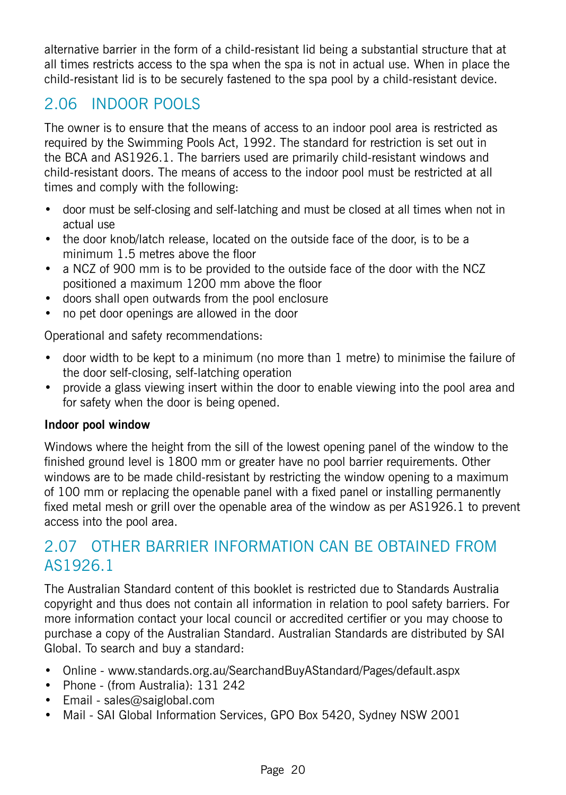alternative barrier in the form of a child-resistant lid being a substantial structure that at all times restricts access to the spa when the spa is not in actual use. When in place the child-resistant lid is to be securely fastened to the spa pool by a child-resistant device.

### 2.06 Indoor Pools

The owner is to ensure that the means of access to an indoor pool area is restricted as required by the Swimming Pools Act, 1992. The standard for restriction is set out in the BCA and AS1926.1. The barriers used are primarily child-resistant windows and child-resistant doors. The means of access to the indoor pool must be restricted at all times and comply with the following:

- door must be self-closing and self-latching and must be closed at all times when not in actual use
- the door knob/latch release, located on the outside face of the door, is to be a minimum 1.5 metres above the floor
- a NCZ of 900 mm is to be provided to the outside face of the door with the NCZ positioned a maximum 1200 mm above the floor
- • doors shall open outwards from the pool enclosure
- no pet door openings are allowed in the door

Operational and safety recommendations:

- door width to be kept to a minimum (no more than 1 metre) to minimise the failure of the door self-closing, self-latching operation
- provide a glass viewing insert within the door to enable viewing into the pool area and for safety when the door is being opened.

### **Indoor pool window**

Windows where the height from the sill of the lowest opening panel of the window to the finished ground level is 1800 mm or greater have no pool barrier requirements. Other windows are to be made child-resistant by restricting the window opening to a maximum of 100 mm or replacing the openable panel with a fixed panel or installing permanently fixed metal mesh or grill over the openable area of the window as per AS1926.1 to prevent access into the pool area.

### 2.07 Other Barrier information can be obtained from AS1926.1

The Australian Standard content of this booklet is restricted due to Standards Australia copyright and thus does not contain all information in relation to pool safety barriers. For more information contact your local council or accredited certifier or you may choose to purchase a copy of the Australian Standard. Australian Standards are distributed by SAI Global. To search and buy a standard:

- Online www.standards.org.au/SearchandBuyAStandard/Pages/default.aspx
- Phone (from Australia): 131 242
- Email sales@saiglobal.com
- Mail SAI Global Information Services, GPO Box 5420, Sydney NSW 2001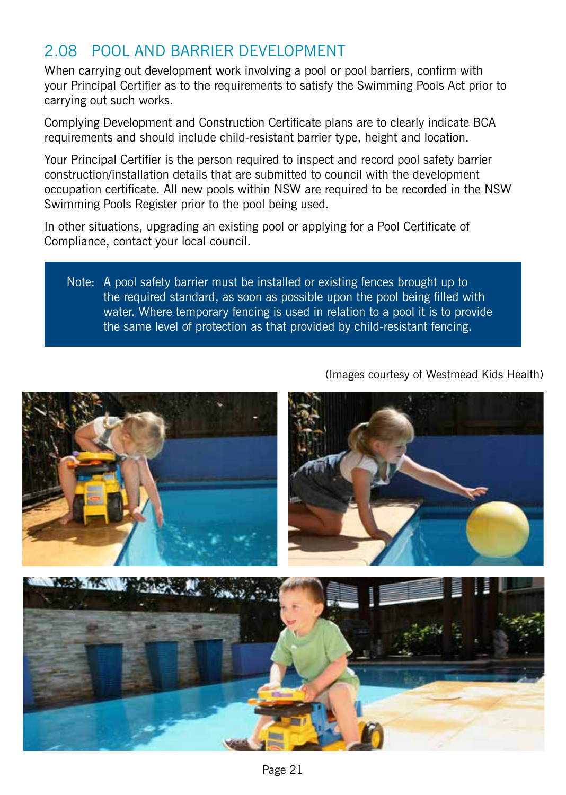### 2.08 Pool and Barrier development

When carrying out development work involving a pool or pool barriers, confirm with your Principal Certifier as to the requirements to satisfy the Swimming Pools Act prior to carrying out such works.

Complying Development and Construction Certificate plans are to clearly indicate BCA requirements and should include child-resistant barrier type, height and location.

Your Principal Certifier is the person required to inspect and record pool safety barrier construction/installation details that are submitted to council with the development occupation certificate. All new pools within NSW are required to be recorded in the NSW Swimming Pools Register prior to the pool being used.

In other situations, upgrading an existing pool or applying for a Pool Certificate of Compliance, contact your local council.

Note: A pool safety barrier must be installed or existing fences brought up to the required standard, as soon as possible upon the pool being filled with water. Where temporary fencing is used in relation to a pool it is to provide the same level of protection as that provided by child-resistant fencing.



(Images courtesy of Westmead Kids Health)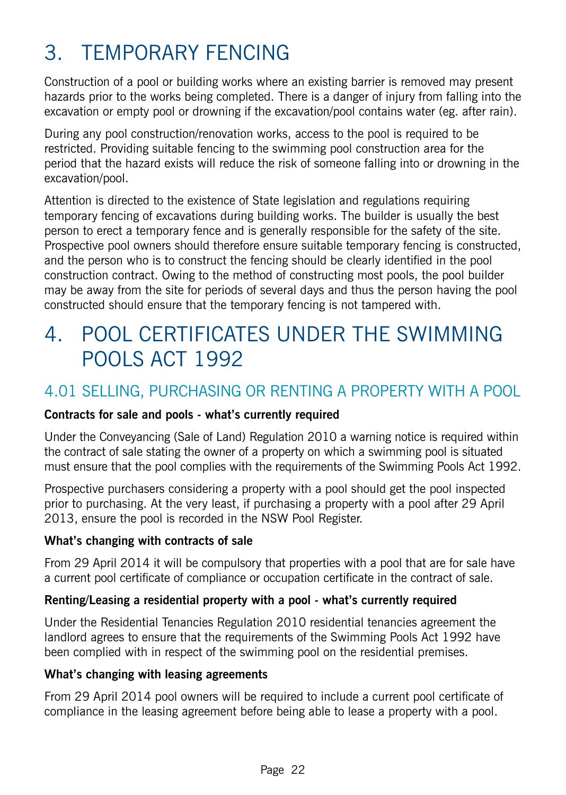## 3. Temporary fencing

Construction of a pool or building works where an existing barrier is removed may present hazards prior to the works being completed. There is a danger of injury from falling into the excavation or empty pool or drowning if the excavation/pool contains water (eg. after rain).

During any pool construction/renovation works, access to the pool is required to be restricted. Providing suitable fencing to the swimming pool construction area for the period that the hazard exists will reduce the risk of someone falling into or drowning in the excavation/pool.

Attention is directed to the existence of State legislation and regulations requiring temporary fencing of excavations during building works. The builder is usually the best person to erect a temporary fence and is generally responsible for the safety of the site. Prospective pool owners should therefore ensure suitable temporary fencing is constructed, and the person who is to construct the fencing should be clearly identified in the pool construction contract. Owing to the method of constructing most pools, the pool builder may be away from the site for periods of several days and thus the person having the pool constructed should ensure that the temporary fencing is not tampered with.

## 4. Pool Certificates under the Swimming Pools Act 1992

### 4.01 Selling, Purchasing OR RENTING a Property with a Pool

### **Contracts for sale and pools - what's currently required**

Under the Conveyancing (Sale of Land) Regulation 2010 a warning notice is required within the contract of sale stating the owner of a property on which a swimming pool is situated must ensure that the pool complies with the requirements of the Swimming Pools Act 1992.

Prospective purchasers considering a property with a pool should get the pool inspected prior to purchasing. At the very least, if purchasing a property with a pool after 29 April 2013, ensure the pool is recorded in the NSW Pool Register.

#### **What's changing with contracts of sale**

From 29 April 2014 it will be compulsory that properties with a pool that are for sale have a current pool certificate of compliance or occupation certificate in the contract of sale.

#### **Renting/Leasing a residential property with a pool - what's currently required**

Under the Residential Tenancies Regulation 2010 residential tenancies agreement the landlord agrees to ensure that the requirements of the Swimming Pools Act 1992 have been complied with in respect of the swimming pool on the residential premises.

#### **What's changing with leasing agreements**

From 29 April 2014 pool owners will be required to include a current pool certificate of compliance in the leasing agreement before being able to lease a property with a pool.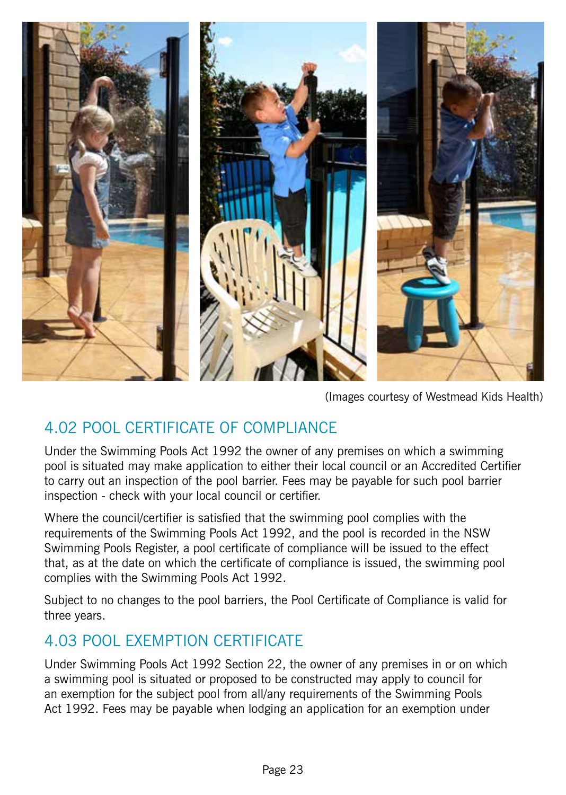

(Images courtesy of Westmead Kids Health)

### 4.02 Pool Certificate of Compliance

Under the Swimming Pools Act 1992 the owner of any premises on which a swimming pool is situated may make application to either their local council or an Accredited Certifier to carry out an inspection of the pool barrier. Fees may be payable for such pool barrier inspection - check with your local council or certifier.

Where the council/certifier is satisfied that the swimming pool complies with the requirements of the Swimming Pools Act 1992, and the pool is recorded in the NSW Swimming Pools Register, a pool certificate of compliance will be issued to the effect that, as at the date on which the certificate of compliance is issued, the swimming pool complies with the Swimming Pools Act 1992.

Subject to no changes to the pool barriers, the Pool Certificate of Compliance is valid for three years.

### 4.03 Pool Exemption Certificate

Under Swimming Pools Act 1992 Section 22, the owner of any premises in or on which a swimming pool is situated or proposed to be constructed may apply to council for an exemption for the subject pool from all/any requirements of the Swimming Pools Act 1992. Fees may be payable when lodging an application for an exemption under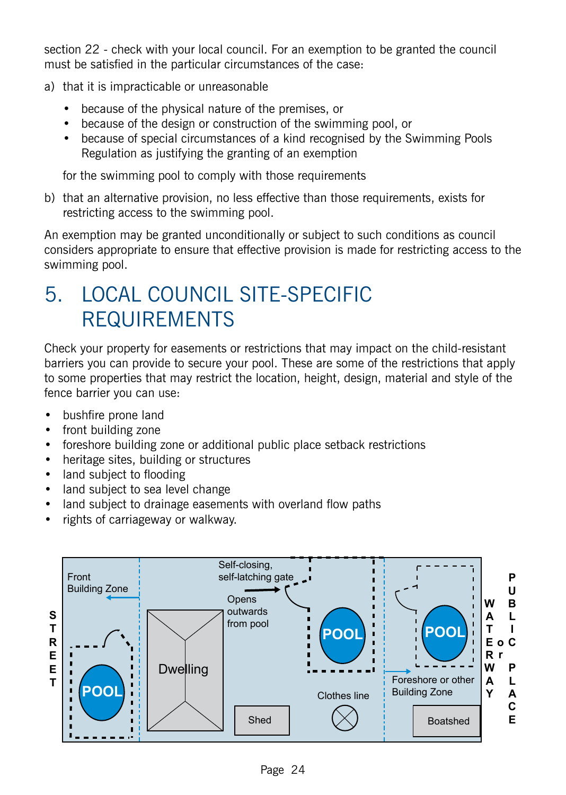section 22 - check with your local council. For an exemption to be granted the council must be satisfied in the particular circumstances of the case:

- a) that it is impracticable or unreasonable
	- because of the physical nature of the premises, or
	- because of the design or construction of the swimming pool, or
	- because of special circumstances of a kind recognised by the Swimming Pools Regulation as justifying the granting of an exemption

for the swimming pool to comply with those requirements

b) that an alternative provision, no less effective than those requirements, exists for restricting access to the swimming pool.

An exemption may be granted unconditionally or subject to such conditions as council considers appropriate to ensure that effective provision is made for restricting access to the swimming pool.

## 5. LOCAL COUNCIL SITE‑SPECIFIC REQUIREMENTS

Check your property for easements or restrictions that may impact on the child-resistant barriers you can provide to secure your pool. These are some of the restrictions that apply to some properties that may restrict the location, height, design, material and style of the fence barrier you can use:

- bushfire prone land
- front building zone
- foreshore building zone or additional public place setback restrictions
- heritage sites, building or structures
- land subject to flooding
- land subject to sea level change
- land subject to drainage easements with overland flow paths
- rights of carriageway or walkway.

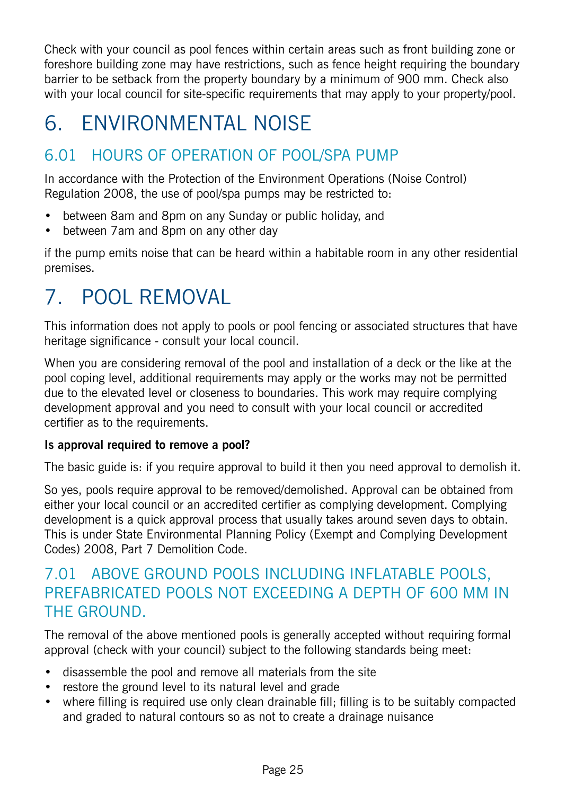Check with your council as pool fences within certain areas such as front building zone or foreshore building zone may have restrictions, such as fence height requiring the boundary barrier to be setback from the property boundary by a minimum of 900 mm. Check also with your local council for site-specific requirements that may apply to your property/pool.

## 6. Environmental Noise

### 6.01 Hours of operation of pool/spa pump

In accordance with the Protection of the Environment Operations (Noise Control) Regulation 2008, the use of pool/spa pumps may be restricted to:

- between 8am and 8pm on any Sunday or public holiday, and
- between 7am and 8pm on any other day

if the pump emits noise that can be heard within a habitable room in any other residential premises.

## 7. POOL Removal

This information does not apply to pools or pool fencing or associated structures that have heritage significance - consult your local council.

When you are considering removal of the pool and installation of a deck or the like at the pool coping level, additional requirements may apply or the works may not be permitted due to the elevated level or closeness to boundaries. This work may require complying development approval and you need to consult with your local council or accredited certifier as to the requirements.

### **Is approval required to remove a pool?**

The basic guide is: if you require approval to build it then you need approval to demolish it.

So yes, pools require approval to be removed/demolished. Approval can be obtained from either your local council or an accredited certifier as complying development. Complying development is a quick approval process that usually takes around seven days to obtain. This is under State Environmental Planning Policy (Exempt and Complying Development Codes) 2008, Part 7 Demolition Code.

### 7.01 Above ground pools including inflatable pools, prefabricated pools not exceeding a depth of 600 mm in THE GROUND.

The removal of the above mentioned pools is generally accepted without requiring formal approval (check with your council) subject to the following standards being meet:

- disassemble the pool and remove all materials from the site
- restore the ground level to its natural level and grade
- where filling is required use only clean drainable fill; filling is to be suitably compacted and graded to natural contours so as not to create a drainage nuisance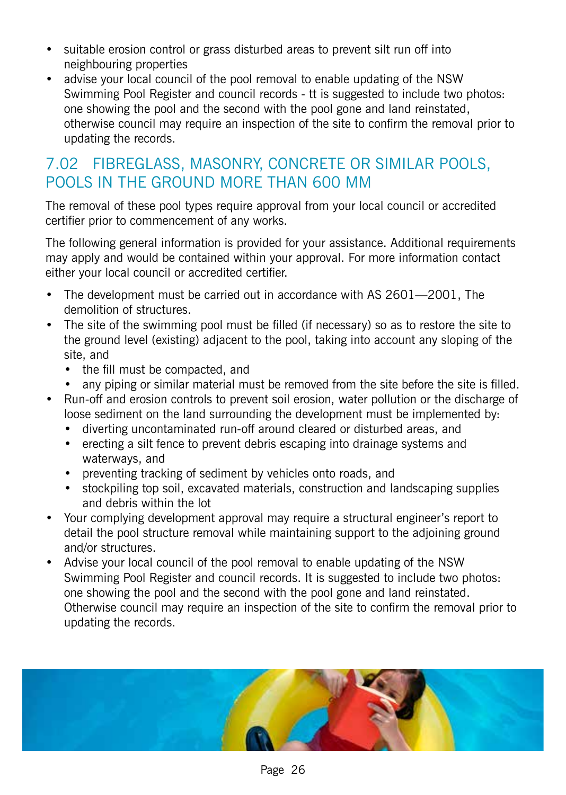- suitable erosion control or grass disturbed areas to prevent silt run off into neighbouring properties
- advise your local council of the pool removal to enable updating of the NSW Swimming Pool Register and council records - tt is suggested to include two photos: one showing the pool and the second with the pool gone and land reinstated, otherwise council may require an inspection of the site to confirm the removal prior to updating the records.

### 7.02 Fibreglass, masonry, concrete or similar pools, pools in the ground more than 600 mm

The removal of these pool types require approval from your local council or accredited certifier prior to commencement of any works.

The following general information is provided for your assistance. Additional requirements may apply and would be contained within your approval. For more information contact either your local council or accredited certifier.

- The development must be carried out in accordance with AS 2601-2001, The demolition of structures.
- The site of the swimming pool must be filled (if necessary) so as to restore the site to the ground level (existing) adjacent to the pool, taking into account any sloping of the site, and
	- the fill must be compacted, and
	- any piping or similar material must be removed from the site before the site is filled.
- Run-off and erosion controls to prevent soil erosion, water pollution or the discharge of loose sediment on the land surrounding the development must be implemented by:
	- diverting uncontaminated run-off around cleared or disturbed areas, and
	- erecting a silt fence to prevent debris escaping into drainage systems and waterways, and
	- preventing tracking of sediment by vehicles onto roads, and
	- stockpiling top soil, excavated materials, construction and landscaping supplies and debris within the lot
- • Your complying development approval may require a structural engineer's report to detail the pool structure removal while maintaining support to the adjoining ground and/or structures.
- Advise your local council of the pool removal to enable updating of the NSW Swimming Pool Register and council records. It is suggested to include two photos: one showing the pool and the second with the pool gone and land reinstated. Otherwise council may require an inspection of the site to confirm the removal prior to updating the records.

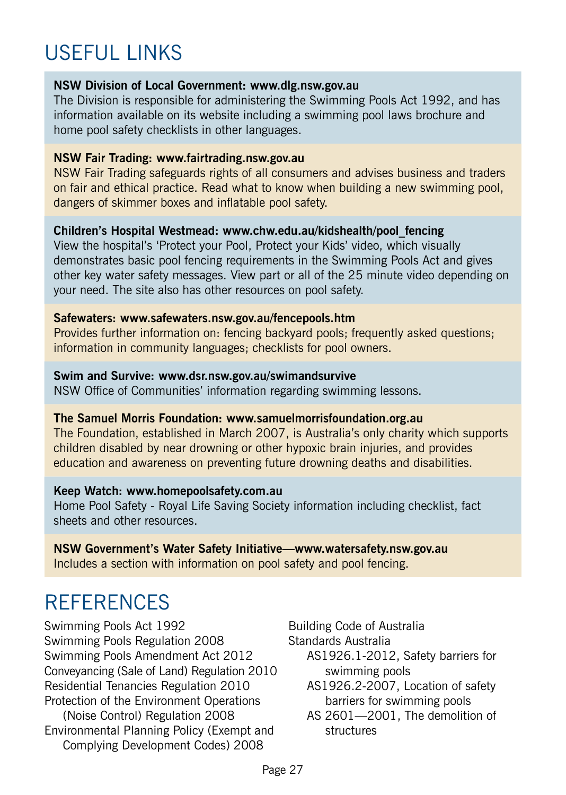## USFFUL LINKS

#### **NSW Division of Local Government: www.dlg.nsw.gov.au**

The Division is responsible for administering the Swimming Pools Act 1992, and has information available on its website including a swimming pool laws brochure and home pool safety checklists in other languages.

#### **NSW Fair Trading: www.fairtrading.nsw.gov.au**

NSW Fair Trading safeguards rights of all consumers and advises business and traders on fair and ethical practice. Read what to know when building a new swimming pool, dangers of skimmer boxes and inflatable pool safety.

#### **Children's Hospital Westmead: www.chw.edu.au/kidshealth/pool\_fencing**

View the hospital's 'Protect your Pool, Protect your Kids' video, which visually demonstrates basic pool fencing requirements in the Swimming Pools Act and gives other key water safety messages. View part or all of the 25 minute video depending on your need. The site also has other resources on pool safety.

#### **Safewaters: www.safewaters.nsw.gov.au/fencepools.htm**

Provides further information on: fencing backyard pools; frequently asked questions; information in community languages; checklists for pool owners.

#### **Swim and Survive: www.dsr.nsw.gov.au/swimandsurvive**

NSW Office of Communities' information regarding swimming lessons.

#### **The Samuel Morris Foundation: www.samuelmorrisfoundation.org.au**

The Foundation, established in March 2007, is Australia's only charity which supports children disabled by near drowning or other hypoxic brain injuries, and provides education and awareness on preventing future drowning deaths and disabilities.

#### **Keep Watch: www.homepoolsafety.com.au**

Home Pool Safety - Royal Life Saving Society information including checklist, fact sheets and other resources.

**NSW Government's Water Safety Initiative—www.watersafety.nsw.gov.au** Includes a section with information on pool safety and pool fencing.

## **REFERENCES**

Swimming Pools Act 1992 Swimming Pools Regulation 2008 Swimming Pools Amendment Act 2012 Conveyancing (Sale of Land) Regulation 2010 Residential Tenancies Regulation 2010 Protection of the Environment Operations (Noise Control) Regulation 2008 Environmental Planning Policy (Exempt and Complying Development Codes) 2008

Building Code of Australia

Standards Australia

- AS1926.1-2012, Safety barriers for swimming pools
- AS1926.2-2007, Location of safety barriers for swimming pools
- AS 2601—2001, The demolition of structures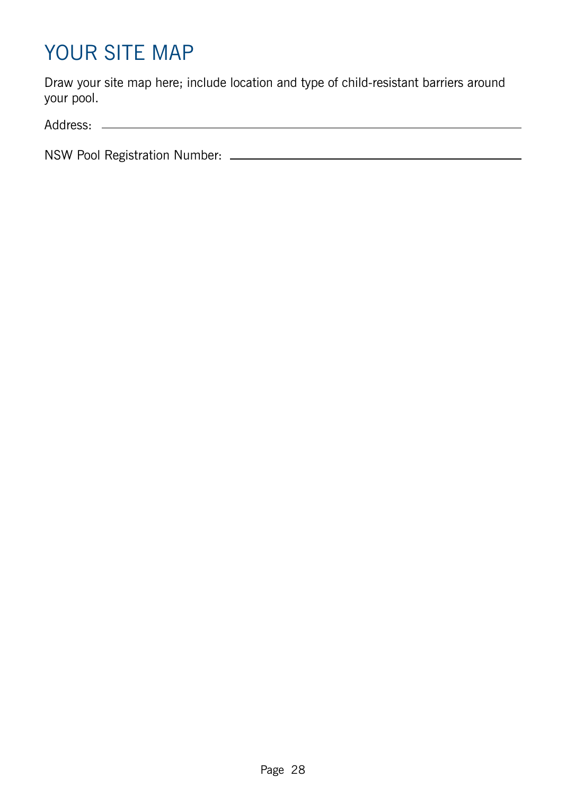## YOUR SITE MAP

Draw your site map here; include location and type of child-resistant barriers around your pool.

Address:

NSW Pool Registration Number: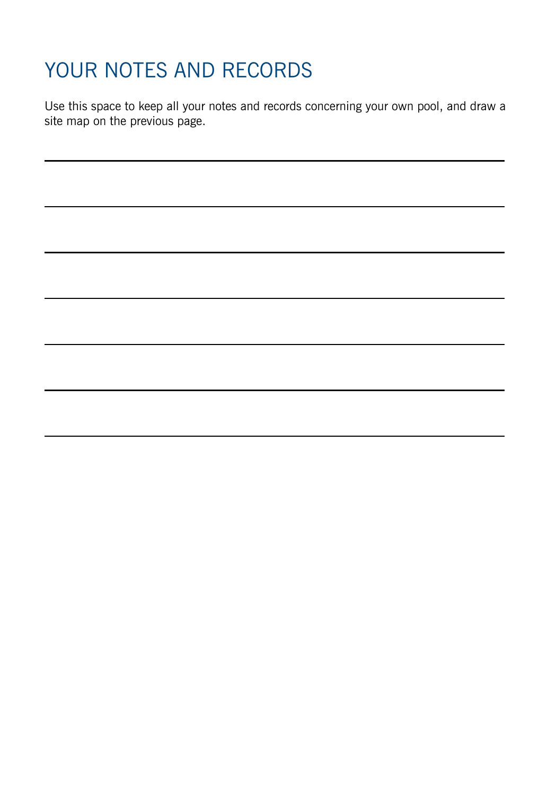## YOUR NOTES AND RECORDS

Use this space to keep all your notes and records concerning your own pool, and draw a site map on the previous page.